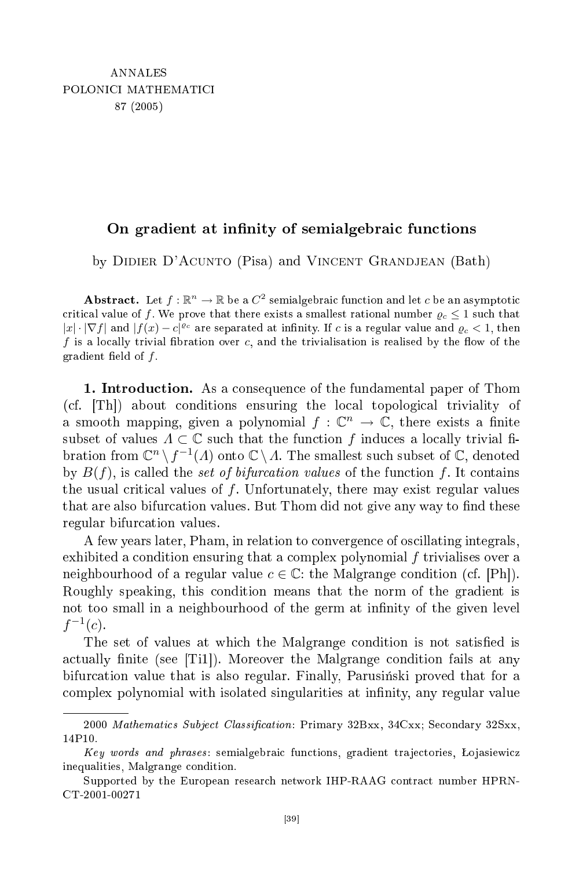## On gradient at innity of semialgebrai fun
tions

by DIDIER D'ACUNTO (Pisa) and VINCENT GRANDJEAN (Bath)

 ${\bf Abstract.} \ \ \text{Let} \ f: \mathbb{R}^n \rightarrow \mathbb{R} \ \text{be a} \ C^2 \ \text{semialgebraic function and let} \ c \ \text{be an asymptotic}$ critical value of f. We prove that there exists a smallest rational number  $\rho_c \leq 1$  such that  $|x| \cdot |\nabla f|$  and  $|f(x) - c|^{e_c}$  are separated at infinity. If c is a regular value and  $\varrho_c < 1$ , then f is a locally trivial fibration over  $c$ , and the trivialisation is realised by the flow of the gradient field of  $f$ .

1. Introduction. As a consequence of the fundamental paper of Thom (cf. [Th]) about conditions ensuring the local topological triviality of a smooth mapping, given a polynomial  $f: \mathbb{C}^n \to \mathbb{C}$ , there exists a finite subset of values  $\Lambda \subset \mathbb{C}$  such that the function f induces a locally trivial fibration from  $\mathbb{C}^n \setminus f^{-1}(A)$  onto  $\mathbb{C} \setminus \Lambda$ . The smallest such subset of  $\mathbb{C}$ , denoted by  $B(f)$ , is called the set of bifurcation values of the function f. It contains the usual critical values of  $f$ . Unfortunately, there may exist regular values that are also bifurcation values. But Thom did not give any way to find these regular bifur
ation values.

A few years later, Pham, in relation to onvergen
e of os
illating integrals, exhibited <sup>a</sup> ondition ensuring that <sup>a</sup> omplex polynomial f trivialises over a neighbourhood of a regular value  $c \in \mathbb{C}$ : the Malgrange condition (cf. [Ph]). Roughly speaking, this ondition means that the norm of the gradient is not too small in a neighbourhood of the germ at infinity of the given level  $f^{-1}(c)$ .

The set of values at which the Malgrange condition is not satisfied is actually finite (see |Ti1|). Moreover the Malgrange condition fails at any bifurcation value that is also regular. Finally, Parusinski proved that for a complex polynomial with isolated singularities at infinity, any regular value

<sup>2000</sup> Mathematics Subject Classification: Primary 32Bxx, 34Cxx; Secondary 32Sxx, 14P10.

Key words and phrases: semialgebraic functions, gradient trajectories, Łojasiewicz inequalities, Malgrange condition.

Supported by the European resear
h network IHP-RAAG ontra
t number HPRN-CT-2001-00271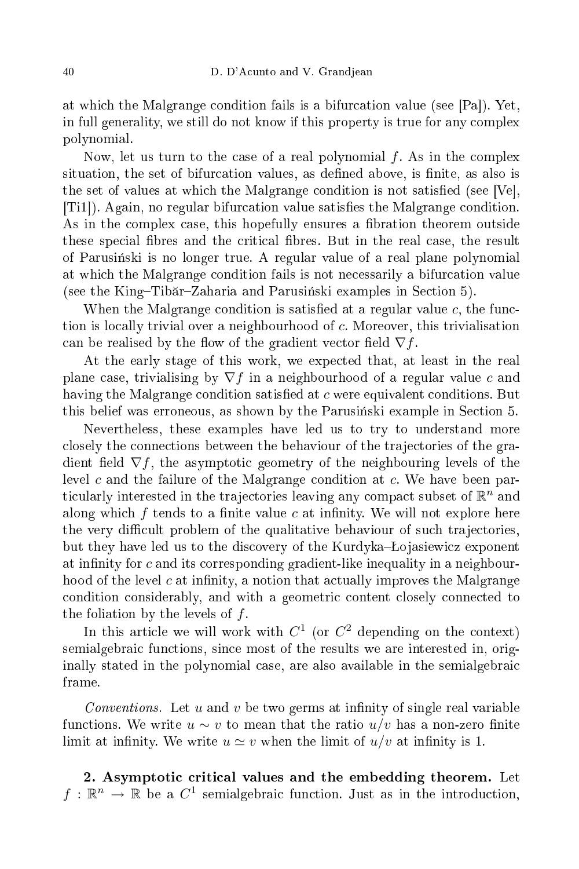at which the Malgrange condition fails is a bifurcation value (see [Pa]). Yet, in full generality, we still do not know if this property is true for any omplex polynomial.

Now, let us turn to the case of a real polynomial  $f$ . As in the complex situation, the set of bifurcation values, as defined above, is finite, as also is the set of values at which the Malgrange condition is not satisfied (see Ve), [Ti1]). Again, no regular bifurcation value satisfies the Malgrange condition. As in the complex case, this hopefully ensures a fibration theorem outside these special fibres and the critical fibres. But in the real case, the result of Parusinski is no longer true. A regular value of a real plane polynomial at whi
h the Malgrange ondition fails is not ne
essarily a bifur
ation value (see the King–Tibăr–Zaharia and Parusiński examples in Section 5).

When the Malgrange condition is satisfied at a regular value  $c$ , the function is locally trivial over a neighbourhood of c. Moreover, this trivialisation can be realised by the flow of the gradient vector field  $\nabla f$ .

At the early stage of this work, we expe
ted that, at least in the real plane case, trivialising by  $\nabla f$  in a neighbourhood of a regular value c and having the Malgrange condition satisfied at c were equivalent conditions. But this belief was erroneous, as shown by the Parusinski example in Section 5.

Nevertheless, these examples have led us to try to understand more closely the connections between the behaviour of the trajectories of the gradient field  $\nabla f$ , the asymptotic geometry of the neighbouring levels of the level c and the failure of the Malgrange condition at  $c$ . We have been particularly interested in the trajectories leaving any compact subset of  $\mathbb{R}^n$  and along which  $f$  tends to a finite value  $c$  at infinity. We will not explore here the very difficult problem of the qualitative behaviour of such trajectories, but they have led us to the discovery of the Kurdyka–Lojasiewicz exponent at infinity for c and its corresponding gradient-like inequality in a neighbourhood of the level  $c$  at infinity, a notion that actually improves the Malgrange condition considerably, and with a geometric content closely connected to the foliation by the levels of  $f$ .

In this article we will work with  $C^1$  (or  $C^2$  depending on the context) semialgebraic functions, since most of the results we are interested in, originally stated in the polynomial ase, are also available in the semialgebrai

Conventions. Let  $u$  and  $v$  be two germs at infinity of single real variable functions. We write  $u \sim v$  to mean that the ratio  $u/v$  has a non-zero finite limit at infinity. We write  $u \simeq v$  when the limit of  $u/v$  at infinity is 1.

2. Asymptotic critical values and the embedding theorem. Let  $f: \mathbb{R}^n \to \mathbb{R}$  be a  $C^1$  semialgebraic function. Just as in the introduction,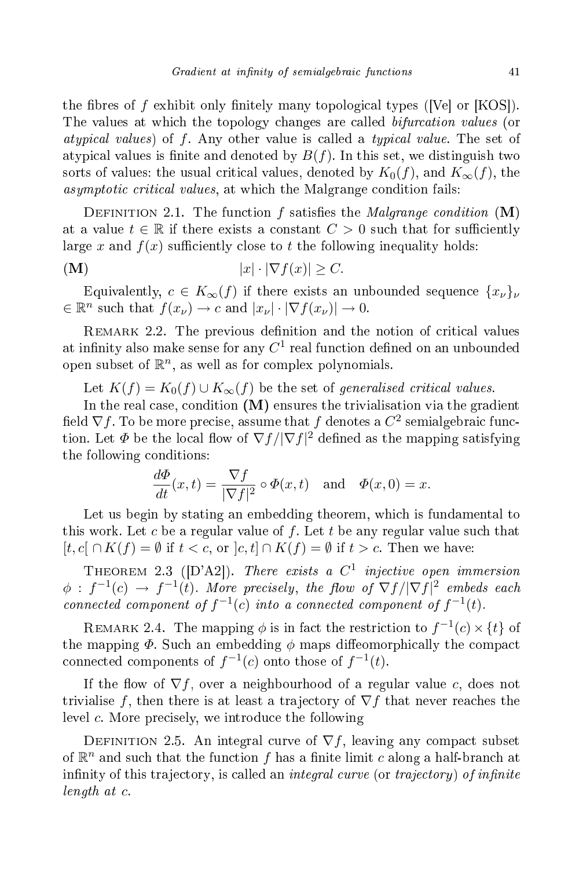the fibres of f exhibit only finitely many topological types ([Ve] or [KOS]). The values at which the topology changes are called *bifurcation values* (or atypical values) of  $f$ . Any other value is called a typical value. The set of atypical values is finite and denoted by  $B(f)$ . In this set, we distinguish two sorts of values; the usual critical values, denoted by  $K_0(f)$ , and  $K_{\infty}(f)$ , the asymptotic critical values, at which the Malgrange condition fails:

DEFINITION 2.1. The function f satisfies the *Malgrange condition*  $(M)$ at a value  $t \in \mathbb{R}$  if there exists a constant  $C > 0$  such that for sufficiently large x and  $f(x)$  sufficiently close to t the following inequality holds:

$$
|\mathbf{M}) \qquad |x| \cdot |\nabla f(x)| \ge C.
$$

Equivalently,  $c \in K_{\infty}(f)$  if there exists an unbounded sequence  $\{x_{\nu}\}_{\nu}$  $\in \mathbb{R}^n$  such that  $f(x_\nu) \to c$  and  $|x_\nu| \cdot |\nabla f(x_\nu)| \to 0$ .

REMARK 2.2. The previous definition and the notion of critical values at infinity also make sense for any  $C^1$  real function defined on an unbounded open subset of  $\mathbb{R}^n$ , as well as for complex polynomials.

Let  $K(f) = K_0(f) \cup K_\infty(f)$  be the set of generalised critical values.

In the real case, condition  $(M)$  ensures the trivialisation via the gradient field  $\nabla f.$  To be more precise, assume that  $f$  denotes a  $C^2$  semialgebraic function. Let  $\varPhi$  be the local flow of  $\nabla f/|\nabla f|^2$  defined as the mapping satisfying the following onditions:

$$
\frac{d\Phi}{dt}(x,t) = \frac{\nabla f}{|\nabla f|^2} \circ \Phi(x,t) \quad \text{and} \quad \Phi(x,0) = x.
$$

Let us begin by stating an embedding theorem, which is fundamental to this work. Let c be a regular value of f. Let t be any regular value such that  $[t, c] \cap K(f) = \emptyset$  if  $t < c$ , or  $[c, t] \cap K(f) = \emptyset$  if  $t > c$ . Then we have:

THEOREM 2.3 ([D'A2]). There exists a  $C^1$  injective open immersion  $\phi$  :  $f^{-1}(c)$   $\rightarrow$   $f^{-1}(t)$ . More precisely, the flow of  $\nabla f/|\nabla f|^2$  embeds each connected component of  $f^{-1}(c)$  into a connected component of  $f^{-1}(t)$ .

REMARK 2.4. The mapping  $\phi$  is in fact the restriction to  $f^{-1}(c)\times\{t\}$  of the mapping  $\Phi$ . Such an embedding  $\phi$  maps diffeomorphically the compact connected components of  $f^{-1}(c)$  onto those of  $f^{-1}(t)$ .

If the flow of  $\nabla f$ , over a neighbourhood of a regular value c, does not trivialise f, then there is at least a trajectory of  $\nabla f$  that never reaches the level c. More precisely, we introduce the following

DEFINITION 2.5. An integral curve of  $\nabla f$ , leaving any compact subset of  $\mathbb{R}^n$  and such that the function f has a finite limit c along a half-branch at infinity of this trajectory, is called an *integral curve* (or *trajectory*) of *infinite* length at c.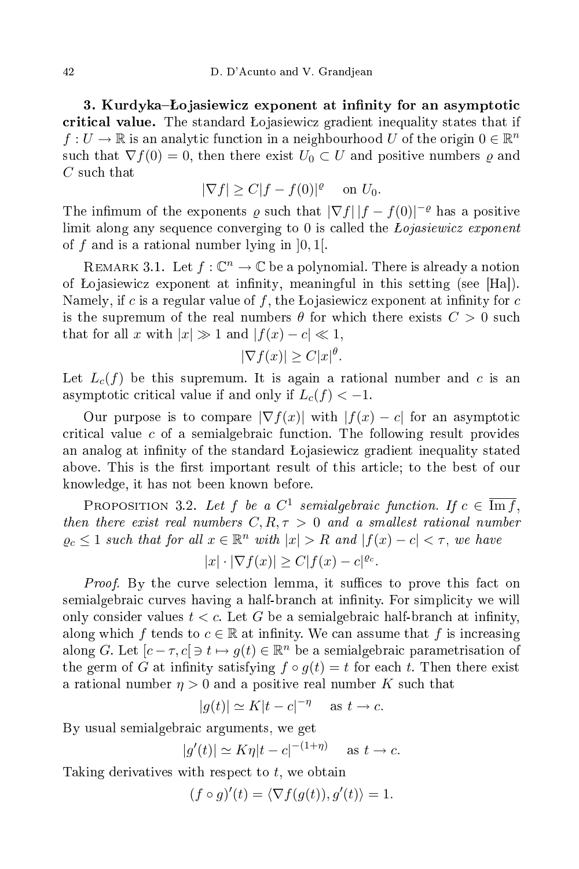3. Kurdyka–Łojasiewicz exponent at infinity for an asymptotic critical value. The standard Lojasiewicz gradient inequality states that if  $f:U\to\mathbb{R}$  is an analytic function in a neighbourhood  $U$  of the origin  $0\in\mathbb{R}^n$ such that  $\nabla f(0) = 0$ , then there exist  $U_0 \subset U$  and positive numbers  $\rho$  and C such that

$$
|\nabla f| \ge C|f - f(0)|^{\varrho} \quad \text{ on } U_0.
$$

The infimum of the exponents  $\varrho$  such that  $|\nabla f| |f - f(0)|^{-\varrho}$  has a positive limit along any sequence converging to 0 is called the *Lojasiewicz exponent* of f and is a rational number lying in  $[0, 1]$ .

REMARK 3.1. Let  $f: \mathbb{C}^n \to \mathbb{C}$  be a polynomial. There is already a notion of Lojasiewicz exponent at infinity, meaningful in this setting (see [Ha]). Namely, if c is a regular value of f, the Lojasiewicz exponent at infinity for  $c$ is the supremum of the real numbers  $\theta$  for which there exists  $C > 0$  such that for all x with  $|x| \gg 1$  and  $|f(x) - c| \ll 1$ ,

$$
|\nabla f(x)| \ge C|x|^{\theta}.
$$

Let  $L_c(f)$  be this supremum. It is again a rational number and c is an asymptotic critical value if and only if  $L_c(f) < -1$ .

Our purpose is to compare  $|\nabla f(x)|$  with  $|f(x) - c|$  for an asymptotic critical value  $c$  of a semialgebraic function. The following result provides an analog at infinity of the standard Lojasiewicz gradient inequality stated above. This is the first important result of this article; to the best of our knowledge, it has not been known before.

PROPOSITION 3.2. Let  $f$  be a  $C^1$  semialgebraic function. If  $c \in \overline{\text{Im } f}$ , then there exist real numbers  $C, R, \tau > 0$  and a smallest rational number  $\varrho_c \leq 1$  such that for all  $x \in \mathbb{R}^n$  with  $|x| > R$  and  $|f(x) - c| < \tau$ , we have

$$
|x| \cdot |\nabla f(x)| \ge C|f(x) - c|^{e_c}.
$$

*Proof.* By the curve selection lemma, it suffices to prove this fact on semialgebraic curves having a half-branch at infinity. For simplicity we will only consider values  $t < c$ . Let G be a semialgebraic half-branch at infinity, along which f tends to  $c \in \mathbb{R}$  at infinity. We can assume that f is increasing along G. Let  $[c - \tau, c] \ni t \mapsto g(t) \in \mathbb{R}^n$  be a semialgebraic parametrisation of the germ of G at infinity satisfying  $f \circ g(t) = t$  for each t. Then there exist a rational number  $\eta > 0$  and a positive real number K such that

$$
|g(t)| \simeq K|t - c|^{-\eta} \quad \text{as } t \to c.
$$

By usual semialgebraic arguments, we get

$$
|g'(t)| \simeq K\eta |t - c|^{-(1+\eta)} \quad \text{as } t \to c.
$$

Taking derivatives with respect to  $t$ , we obtain

$$
(f \circ g)'(t) = \langle \nabla f(g(t)), g'(t) \rangle = 1.
$$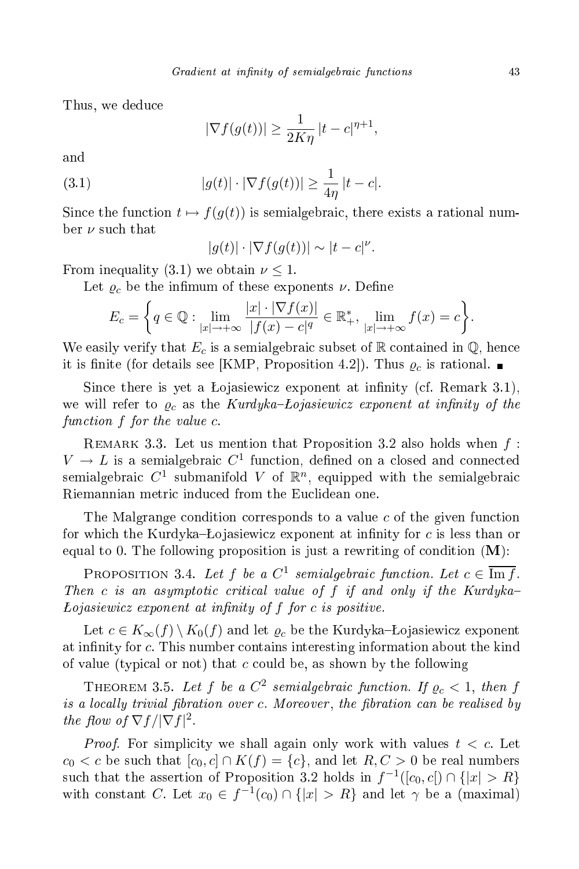Thus, we dedu
e

$$
|\nabla f(g(t))| \ge \frac{1}{2K\eta} |t - c|^{\eta + 1},
$$

(3.1) 
$$
|g(t)| \cdot |\nabla f(g(t))| \geq \frac{1}{4\eta} |t - c|.
$$

Since the function  $t \mapsto f(g(t))$  is semialgebraic, there exists a rational number  $\nu$  such that

$$
|g(t)| \cdot |\nabla f(g(t))| \sim |t - c|^{\nu}.
$$

From inequality (3.1) we obtain  $\nu \leq 1$ .

Let  $\varrho_c$  be the infimum of these exponents  $\nu$ . Define

$$
E_c = \left\{ q \in \mathbb{Q} : \lim_{|x| \to +\infty} \frac{|x| \cdot |\nabla f(x)|}{|f(x) - c|^q} \in \mathbb{R}_+^*, \lim_{|x| \to +\infty} f(x) = c \right\}.
$$

We easily verify that  $E_c$  is a semialgebraic subset of R contained in Q, hence it is finite (for details see [KMP, Proposition 4.2]). Thus  $\rho_c$  is rational.

Since there is yet a Łojasiewicz exponent at infinity (cf. Remark 3.1), we will refer to  $\rho_c$  as the Kurdyka-Lojasiewicz exponent at infinity of the function f for the value c.

REMARK 3.3. Let us mention that Proposition 3.2 also holds when  $f$ :  $V \to L$  is a semialgebraic  $C^1$  function, defined on a closed and connected semialgebraic  $C^1$  submanifold V of  $\mathbb{R}^n$ , equipped with the semialgebraic Riemannian metri indu
ed from the Eu
lidean one.

The Malgrange condition corresponds to a value c of the given function for which the Kurdyka–Lojasiewicz exponent at infinity for  $c$  is less than or equal to 0. The following proposition is just a rewriting of condition  $(M)$ :

PROPOSITION 3.4. Let f be a  $C^1$  semialgebraic function. Let  $c \in \overline{\text{Im } f}$ . Then c is an asymptotic critical value of  $f$  if and only if the Kurdyka- $Loiasiewicz$  exponent at infinity of  $f$  for  $c$  is positive.

Let  $c \in K_{\infty}(f) \setminus K_0(f)$  and let  $\varrho_c$  be the Kurdyka-Łojasiewicz exponent at infinity for c. This number contains interesting information about the kind of value (typical or not) that c could be, as shown by the following

THEOREM 3.5. Let  $f$  be a  $C^2$  semialgebraic function. If  $\varrho_c < 1$ , then  $f$ is a locally trivial fibration over c. Moreover, the fibration can be realised by the flow of  $\nabla f / |\nabla f|^2$ .

*Proof.* For simplicity we shall again only work with values  $t < c$ . Let  $c_0 < c$  be such that  $[c_0, c] \cap K(f) = \{c\}$ , and let  $R, C > 0$  be real numbers such that the assertion of Proposition 3.2 holds in  $f^{-1}([c_0, c]) \cap \{|x| > R\}$ with constant C. Let  $x_0 \in f^{-1}(c_0) \cap \{|x| > R\}$  and let  $\gamma$  be a (maximal)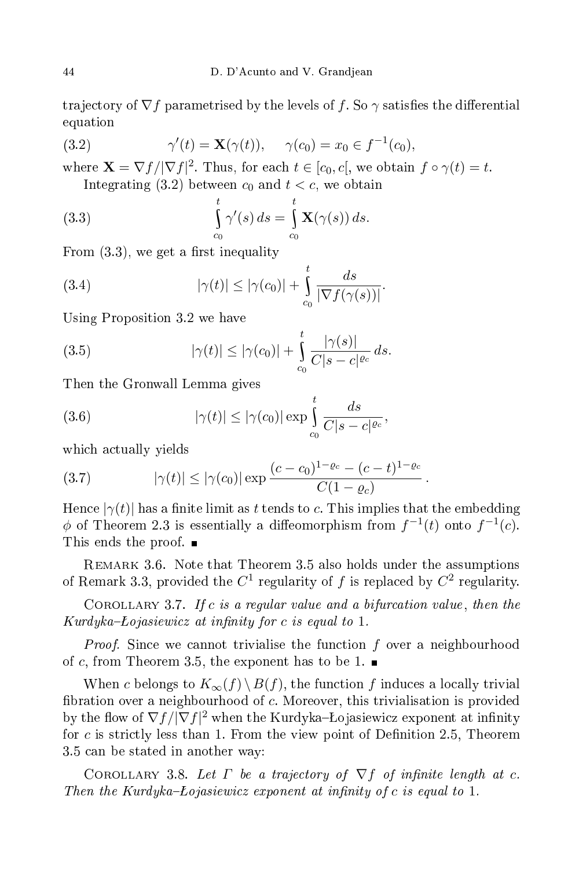trajectory of  $\nabla f$  parametrised by the levels of f. So  $\gamma$  satisfies the differential equation experimental control of the control of the control of the control of the control of the control of the control of the control of the control of the control of the control of the control of the control of the control of the

(3.2) 
$$
\gamma'(t) = \mathbf{X}(\gamma(t)), \quad \gamma(c_0) = x_0 \in f^{-1}(c_0),
$$

where  $\mathbf{X} = \nabla f / |\nabla f|^2$ . Thus, for each  $t \in [c_0, c]$ , we obtain  $f \circ \gamma(t) = t$ . Integrating (3.2) between  $c_0$  and  $t < c$ , we obtain

(3.3) 
$$
\int_{c_0}^t \gamma'(s) ds = \int_{c_0}^t \mathbf{X}(\gamma(s)) ds.
$$

From  $(3.3)$ , we get a first inequality

(3.4) 
$$
|\gamma(t)| \le |\gamma(c_0)| + \int_{c_0}^t \frac{ds}{|\nabla f(\gamma(s))|}.
$$

Using Proposition 3.2 we have

(3.5) 
$$
|\gamma(t)| \le |\gamma(c_0)| + \int_{c_0}^t \frac{|\gamma(s)|}{C|s - c|^{c_c}} ds.
$$

Then the Gronwall Lemma gives

(3.6) 
$$
|\gamma(t)| \le |\gamma(c_0)| \exp \int_{c_0}^t \frac{ds}{C|s-c|^{c_c}},
$$

whi
h a
tually yields

(3.7) 
$$
|\gamma(t)| \leq |\gamma(c_0)| \exp \frac{(c-c_0)^{1-\varrho_c} - (c-t)^{1-\varrho_c}}{C(1-\varrho_c)}.
$$

Hence  $|\gamma(t)|$  has a finite limit as t tends to c. This implies that the embedding  $\phi$  of Theorem 2.3 is essentially a diffeomorphism from  $f^{-1}(t)$  onto  $f^{-1}(c)$ . This ends the proof.  $\blacksquare$ 

Remark 3.6. Note that Theorem 3.5 also holds under the assumptions of Remark 3.3, provided the  $C^1$  regularity of f is replaced by  $C^2$  regularity.

COROLLARY 3.7. If c is a regular value and a bifurcation value, then the  $Kurdyka-Lojasiewicz at infinity for c is equal to 1.$ 

*Proof.* Since we cannot trivialise the function f over a neighbourhood of c, from Theorem 3.5, the exponent has to be 1.  $\blacksquare$ 

When  $c$  belongs to  $K_\infty(f)\operatorname{\backslash} B(f),$  the function  $f$  induces a locally trivial bration over <sup>a</sup> neighbourhood of c. Moreover, this trivialisation is provided by the flow of  $\nabla f/|\nabla f|^2$  when the Kurdyka-Łojasiewicz exponent at infinity for  $c$  is strictly less than 1. From the view point of Definition 2.5, Theorem 3.5 an be stated in another way:

COROLLARY 3.8. Let  $\Gamma$  be a trajectory of  $\nabla f$  of infinite length at c. Then the Kurdyka-Lojasiewicz exponent at infinity of c is equal to 1.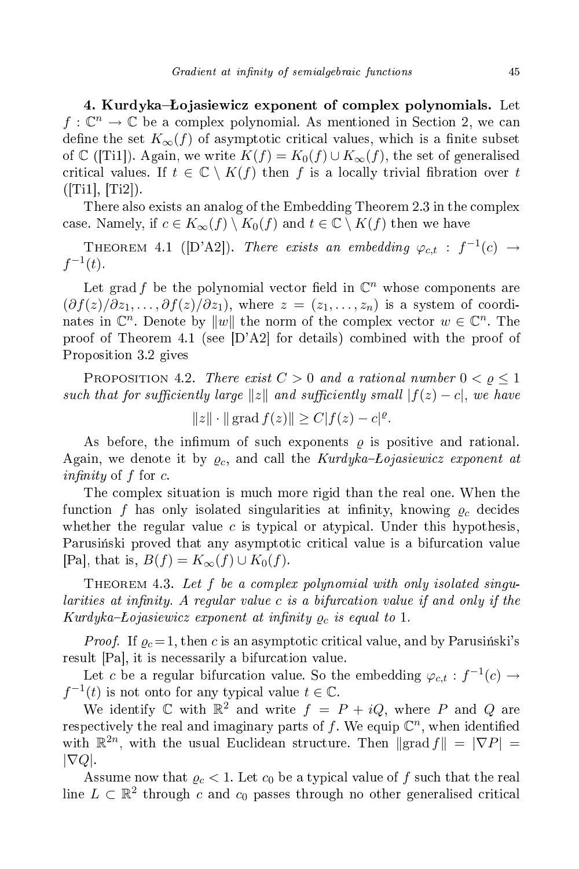4. Kurdyka–Łojasiewicz exponent of complex polynomials. Let  $f: \mathbb{C}^n \to \mathbb{C}$  be a complex polynomial. As mentioned in Section 2, we can define the set  $K_{\infty}(f)$  of asymptotic critical values, which is a finite subset of C ([Ti1]). Again, we write  $K(f) = K_0(f) \cup K_\infty(f)$ , the set of generalised critical values. If  $t \in \mathbb{C} \setminus K(f)$  then f is a locally trivial fibration over t  $([Ti1], [Ti2])$ .

There also exists an analog of the Embedding Theorem 2.3 in the complex case. Namely, if  $c \in K_{\infty}(f) \setminus K_0(f)$  and  $t \in \mathbb{C} \setminus K(f)$  then we have

THEOREM 4.1 ([D'A2]). There exists an embedding  $\varphi_{c,t}$  :  $f^{-1}(c) \rightarrow$  $f^{-1}(t)$ .

Let grad f be the polynomial vector field in  $\mathbb{C}^n$  whose components are  $(\partial f(z)/\partial z_1,\ldots,\partial f(z)/\partial z_1)$ , where  $z=(z_1,\ldots,z_n)$  is a system of coordinates in  $\mathbb{C}^n$ . Denote by  $||w||$  the norm of the complex vector  $w \in \mathbb{C}^n$ . The proof of Theorem 4.1 (see  $[D'A2]$  for details) combined with the proof of Proposition 3.2 gives

PROPOSITION 4.2. There exist  $C > 0$  and a rational number  $0 < \varrho \leq 1$ such that for sufficiently large  $||z||$  and sufficiently small  $|f(z) - c|$ , we have

$$
||z|| \cdot ||
$$
 grad  $f(z)|| \ge C|f(z) - c|^{\varrho}$ .

As before, the infimum of such exponents  $\rho$  is positive and rational. Again, we denote it by  $\rho_c$ , and call the Kurdyka-Lojasiewicz exponent at *infinity* of f for c.

The omplex situation is mu
h more rigid than the real one. When the function f has only isolated singularities at infinity, knowing  $\rho_c$  decides whether the regular value  $c$  is typical or atypical. Under this hypothesis, Parusiński proved that any asymptotic critical value is a bifurcation value [Pa], that is,  $B(f) = K_{\infty}(f) \cup K_0(f)$ .

THEOREM 4.3. Let  $f$  be a complex polynomial with only isolated singularities at infinity. A regular value  $c$  is a bifurcation value if and only if the Kurdyka–Łojasiewicz exponent at infinity  $\varrho_c$  is equal to 1.

*Proof.* If  $\varrho_c = 1$ , then c is an asymptotic critical value, and by Parusinski's result  $|Pa|$ , it is necessarily a bifurcation value.

Let c be a regular bifurcation value. So the embedding  $\varphi_{c,t}: f^{-1}(c) \to$  $f^{-1}(t)$  is not onto for any typical value  $t \in \mathbb{C}$ .

We identify  $\mathbb C$  with  $\mathbb R^2$  and write  $f = P + iQ$ , where  $P$  and  $Q$  are respectively the real and imaginary parts of  $f$ . We equip  $\mathbb{C}^n$ , when identified with  $\mathbb{R}^{2n}$ , with the usual Euclidean structure. Then  $\|\text{grad } f\| = |\nabla P| =$  $|\nabla Q|$ .

Assume now that  $\varrho_c < 1$ . Let  $c_0$  be a typical value of f such that the real line  $L \subset \mathbb{R}^2$  through  $c$  and  $c_0$  passes through no other generalised critical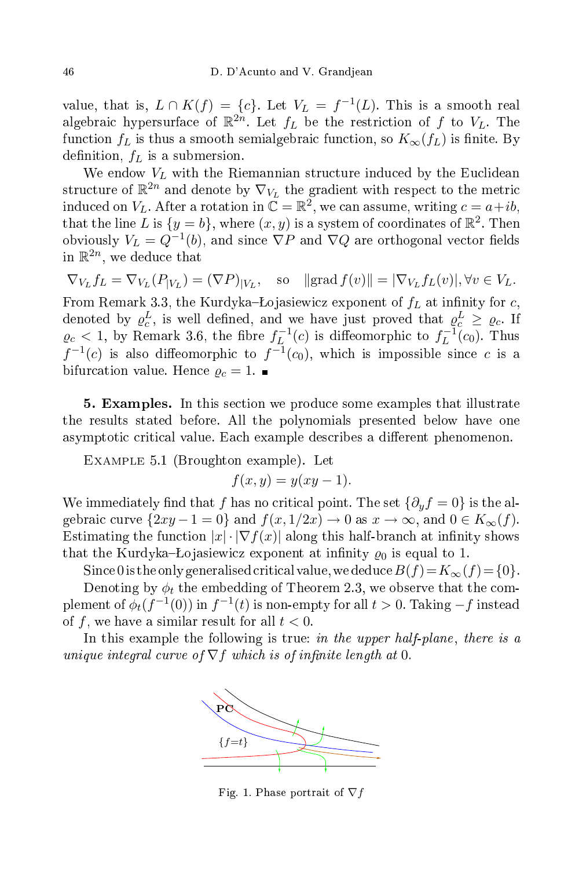value, that is,  $L \cap K(f) = \{c\}$ . Let  $V_L = f^{-1}(L)$ . This is a smooth real algebraic hypersurface of  $\mathbb{R}^{2n}$ . Let  $f_L$  be the restriction of f to  $V_L$ . The function  $f_L$  is thus a smooth semialgebraic function, so  $K_\infty(f_L)$  is finite. By definition,  $f_L$  is a submersion.

We endow  $V_L$  with the Riemannian structure induced by the Euclidean structure of  $\mathbb{R}^{2n}$  and denote by  $\nabla_{V_L}$  the gradient with respect to the metric induced on  $V_L$ . After a rotation in  $\mathbb{C} = \mathbb{R}^2$ , we can assume, writing  $c = a + ib$ , that the line  $L$  is  $\{y=b\},$  where  $(x,y)$  is a system of coordinates of  $\mathbb{R}^2.$  Then obviously  $V_L = Q^{-1}(b)$ , and since  $\nabla P$  and  $\nabla Q$  are orthogonal vector fields in  $\mathbb{R}^{2n}$ , we deduce that

 $\nabla_{V_L} f_L = \nabla_{V_L} (P_{|V_L}) = (\nabla P)_{|V_L}, \text{ so } || \text{grad } f(v) || = |\nabla_{V_L} f_L(v) |, \forall v \in V_L.$ From Remark 3.3, the Kurdyka-Łojasiewicz exponent of  $f_L$  at infinity for c, denoted by  $\varrho_c^L$ , is well defined, and we have just proved that  $\varrho_c^L \ge \varrho_c$ . If  $\varrho_c < 1$ , by Remark 3.6, the fibre  $f_L^{-1}(c)$  is diffeomorphic to  $f_L^{-1}(c_0)$ . Thus  $f^{-1}(c)$  is also diffeomorphic to  $f^{-1}(c_0)$ , which is impossible since c is a bifurcation value. Hence  $\rho_c = 1$ .

5. Examples. In this section we produce some examples that illustrate the results stated before. All the polynomials presented below have one asymptotic critical value. Each example describes a different phenomenon.

EXAMPLE 5.1 (Broughton example). Let

$$
f(x,y) = y(xy-1).
$$

We immediately find that f has no critical point. The set  $\{\partial_y f = 0\}$  is the algebraic curve  $\{2xy - 1 = 0\}$  and  $f(x, 1/2x) \to 0$  as  $x \to \infty$ , and  $0 \in K_{\infty}(f)$ . Estimating the function  $|x| \cdot |\nabla f(x)|$  along this half-branch at infinity shows that the Kurdyka–Lojasiewicz exponent at infinity  $\rho_0$  is equal to 1.

Since 0 is the only generalised critical value, we deduce  $B(f) = K_{\infty}(f) = \{0\}.$ Denoting by  $\phi_t$  the embedding of Theorem 2.3, we observe that the com-

plement of  $\phi_t(f^{-1}(0))$  in  $f^{-1}(t)$  is non-empty for all  $t > 0$ . Taking  $-f$  instead of f, we have a similar result for all  $t < 0$ .

In this example the following is true: in the upper half-plane, there is a unique integral curve of  $\nabla f$  which is of infinite length at 0.



Fig. 1. Phase portrait of  $\nabla f$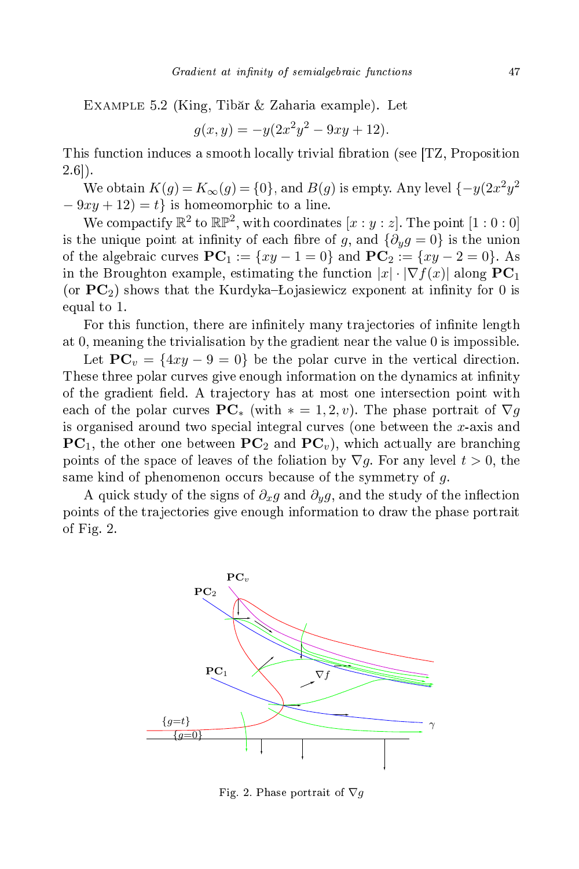Example 5.2 (King, Tibăr & Zaharia example). Let

$$
g(x, y) = -y(2x^2y^2 - 9xy + 12).
$$

This function induces a smooth locally trivial fibration (see [TZ, Proposition  $2.6$ .

We obtain  $K(g) = K_{\infty}(g) = \{0\}$ , and  $B(g)$  is empty. Any level  $\{-y(2x^2y^2)$  $-9xy+12$  = t} is homeomorphic to a line.

We compactify  $\mathbb{R}^2$  to  $\mathbb{RP}^2,$  with coordinates  $[x:y:z].$  The point  $[1:0:0]$ is the unique point at infinity of each fibre of g, and  $\{\partial_u g = 0\}$  is the union of the algebraic curves  $PC_1 := \{xy - 1 = 0\}$  and  $PC_2 := \{xy - 2 = 0\}$ . As in the Broughton example, estimating the function  $|x| \cdot |\nabla f(x)|$  along  $PC_1$ (or  $PC<sub>2</sub>$ ) shows that the Kurdyka–Lojasiewicz exponent at infinity for 0 is equal to 1.

For this function, there are infinitely many trajectories of infinite length at 0, meaning the trivialisation by the gradient near the value 0 is impossible.

Let  $PC_v = \{4xy - 9 = 0\}$  be the polar curve in the vertical direction. These three polar curves give enough information on the dynamics at infinity of the gradient field. A trajectory has at most one intersection point with each of the polar curves  $PC_*$  (with  $* = 1, 2, v$ ). The phase portrait of  $\nabla g$ is organised around two special integral curves (one between the x-axis and  $PC<sub>1</sub>$ , the other one between  $PC<sub>2</sub>$  and  $PC<sub>v</sub>$ ), which actually are branching points of the space of leaves of the foliation by  $\nabla g$ . For any level  $t > 0$ , the same kind of phenomenon occurs because of the symmetry of  $g$ .

A quick study of the signs of  $\partial_x g$  and  $\partial_y g$ , and the study of the inflection points of the tra je
tories give enough information to draw the phase portrait of Fig. 2.



Fig. 2. Phase portrait of  $\nabla g$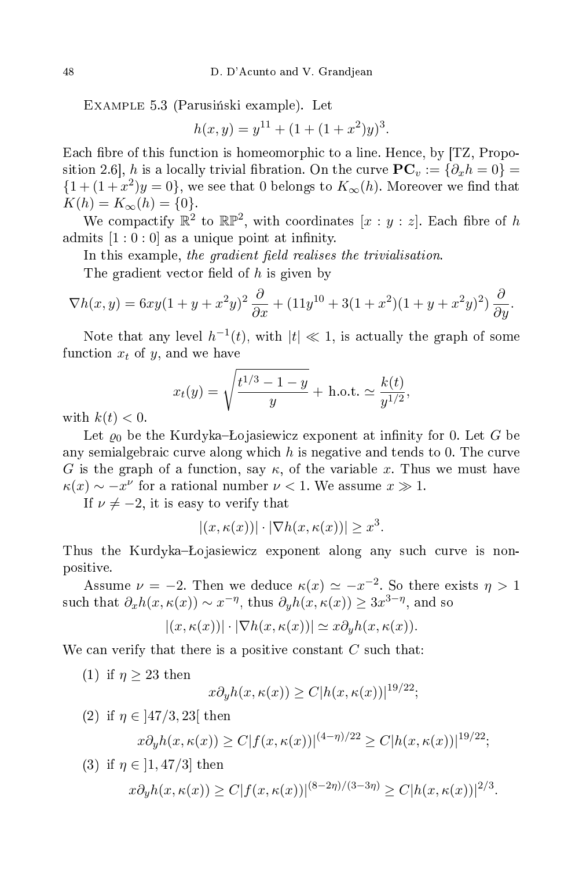EXAMPLE 5.3 (Parusiński example). Let

$$
h(x, y) = y^{11} + (1 + (1 + x^2)y)^3.
$$

Each fibre of this function is homeomorphic to a line. Hence, by [TZ, Proposition 2.6, h is a locally trivial fibration. On the curve  $\mathbf{PC}_v := \{ \partial_x h = 0 \} =$  $\{1+(1+x^2)y=0\}$ , we see that 0 belongs to  $K_{\infty}(h)$ . Moreover we find that  $K(h) = K_{\infty}(h) = \{0\}.$ 

We compactify  $\mathbb{R}^2$  to  $\mathbb{RP}^2$ , with coordinates  $[x:y:z]$ . Each fibre of  $h$ admits  $[1:0:0]$  as a unique point at infinity.

In this example, the gradient field realises the trivialisation.

The gradient vector field of  $h$  is given by

$$
\nabla h(x,y) = 6xy(1+y+x^2y)^2 \frac{\partial}{\partial x} + (11y^{10} + 3(1+x^2)(1+y+x^2y)^2) \frac{\partial}{\partial y}.
$$

Note that any level  $h^{-1}(t)$ , with  $|t| \ll 1$ , is actually the graph of some function  $x_t$  of y, and we have

$$
x_t(y) = \sqrt{\frac{t^{1/3} - 1 - y}{y}} + \text{h.o.t.} \simeq \frac{k(t)}{y^{1/2}},
$$

with  $k(t) < 0$ .

Let  $\varrho_0$  be the Kurdyka-Łojasiewicz exponent at infinity for 0. Let G be any semialgebraic curve along which h is negative and tends to 0. The curve G is the graph of a function, say  $\kappa$ , of the variable x. Thus we must have  $\kappa(x) \sim -x^{\nu}$  for a rational number  $\nu < 1$ . We assume  $x \gg 1$ .

If  $\nu \neq -2$ , it is easy to verify that

$$
|(x,\kappa(x))| \cdot |\nabla h(x,\kappa(x))| \ge x^3.
$$

Thus the Kurdyka–Lojasiewicz exponent along any such curve is nonpositive.

Assume  $\nu = -2$ . Then we deduce  $\kappa(x) \simeq -x^{-2}$ . So there exists  $\eta > 1$ such that  $\partial_x h(x,\kappa(x)) \sim x^{-\eta}$ , thus  $\partial_y h(x,\kappa(x)) \geq 3x^{3-\eta}$ , and so

$$
|(x,\kappa(x))| \cdot |\nabla h(x,\kappa(x))| \simeq x \partial_y h(x,\kappa(x)).
$$

We can verify that there is a positive constant  $C$  such that:

(1) if  $\eta \geq 23$  then

$$
x\partial_y h(x,\kappa(x)) \ge C|h(x,\kappa(x))|^{19/22};
$$

(2) if  $\eta \in |47/3, 23|$  then

$$
x\partial_y h(x,\kappa(x)) \ge C|f(x,\kappa(x))|^{(4-\eta)/22} \ge C|h(x,\kappa(x))|^{19/22};
$$

(3) if 
$$
\eta \in ]1,47/3]
$$
 then  
\n $x \partial_y h(x,\kappa(x)) \ge C |f(x,\kappa(x))|^{(8-2\eta)/(3-3\eta)} \ge C |h(x,\kappa(x))|^{2/3}.$